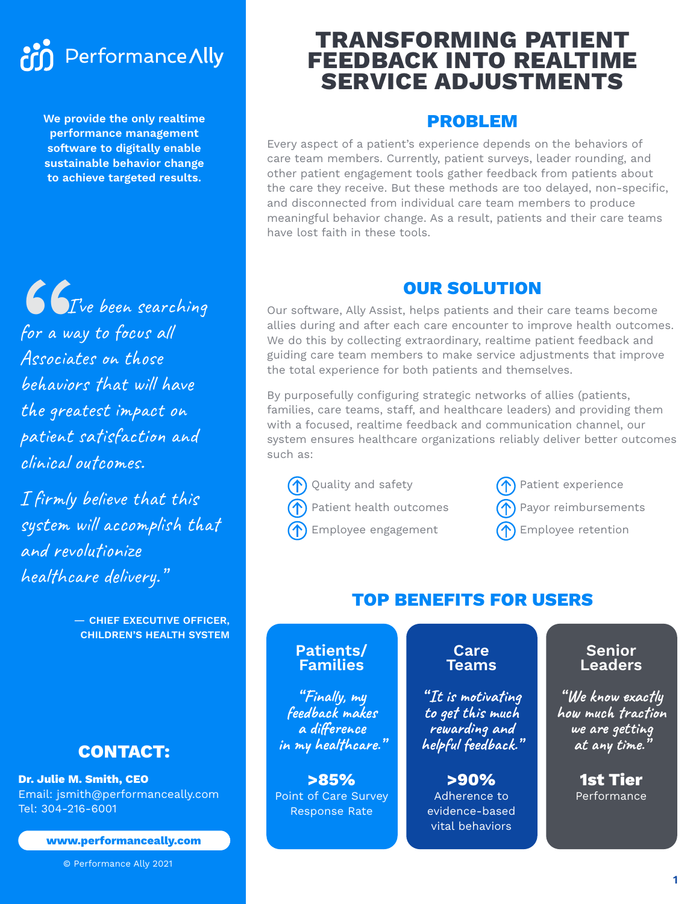# Performance Ally **Print**

**We provide the only realtime performance management software to digitally enable sustainable behavior change to achieve targeted results.** 

66<br>For a wa<br>Associai<br>behavioi **I** Ve been searching for a way to focus all Associates on those behaviors that will have the greatest impact on patient satisfaction and clinical outcomes.

I firmly believe that this system will accomplish that and revolutionize healthcare delivery."

> — **CHIEF EXECUTIVE OFFICER, CHILDREN'S HEALTH SYSTEM**

# **CONTACT:**

**Dr. Julie M. Smith, CEO** Email: jsmith@performanceally.com Tel: 304-216-6001

#### **www.performanceally.com**

© Performance Ally 2021

# **TRANSFORMING PATIENT FEEDBACK INTO REALTIME SERVICE ADJUSTMENTS**

# **PROBLEM**

Every aspect of a patient's experience depends on the behaviors of care team members. Currently, patient surveys, leader rounding, and other patient engagement tools gather feedback from patients about the care they receive. But these methods are too delayed, non-specific, and disconnected from individual care team members to produce meaningful behavior change. As a result, patients and their care teams have lost faith in these tools.

# **OUR SOLUTION**

Our software, Ally Assist, helps patients and their care teams become allies during and after each care encounter to improve health outcomes. We do this by collecting extraordinary, realtime patient feedback and guiding care team members to make service adjustments that improve the total experience for both patients and themselves.

By purposefully configuring strategic networks of allies (patients, families, care teams, staff, and healthcare leaders) and providing them with a focused, realtime feedback and communication channel, our system ensures healthcare organizations reliably deliver better outcomes such as:

Quality and safety

Patient health outcomes

Employee engagement

Patient experience

Payor reimbursements

Employee retention

# **TOP BENEFITS FOR USERS**

#### **Patients/ Families**

**" Finally, my feedback makes a difference in my healthcare."**

**>85%** Point of Care Survey Response Rate

#### **Care Teams**

**" It is motivating to get this much rewarding and helpful feedback."**

**>90%**  Adherence to evidence-based vital behaviors

#### **Senior Leaders**

**" We know exactly how much traction we are getting at any time."**

> **1st Tier**  Performance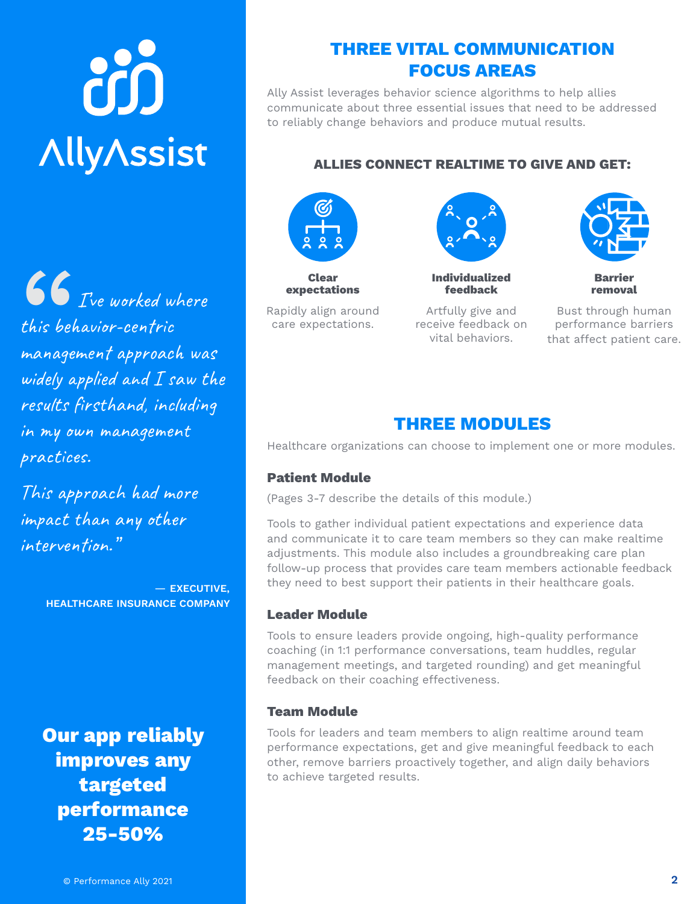# òò **AllyAssist**

66<br>this beh<br>managel<br>widely a **I**  $\bullet$  *I* ve worked where this behavior-centric management approach was widely applied and  $I$  saw the results firsthand, including in my own management practices.

This approach had more impact than any other intervention."

> — **EXECUTIVE, HEALTHCARE INSURANCE COMPANY**

**Our app reliably improves any targeted performance 25-50%**

Ally Assist leverages behavior science algorithms to help allies communicate about three essential issues that need to be addressed to reliably change behaviors and produce mutual results.

#### **ALLIES CONNECT REALTIME TO GIVE AND GET:**



**Clear expectations**

Rapidly align around care expectations.

Artfully give and receive feedback on vital behaviors.

**Individualized feedback**



**Barrier removal**

Bust through human performance barriers that affect patient care.

# **THREE MODULES**

Healthcare organizations can choose to implement one or more modules.

#### **Patient Module**

(Pages 3-7 describe the details of this module.)

Tools to gather individual patient expectations and experience data and communicate it to care team members so they can make realtime adjustments. This module also includes a groundbreaking care plan follow-up process that provides care team members actionable feedback they need to best support their patients in their healthcare goals.

#### **Leader Module**

Tools to ensure leaders provide ongoing, high-quality performance coaching (in 1:1 performance conversations, team huddles, regular management meetings, and targeted rounding) and get meaningful feedback on their coaching effectiveness.

#### **Team Module**

Tools for leaders and team members to align realtime around team performance expectations, get and give meaningful feedback to each other, remove barriers proactively together, and align daily behaviors to achieve targeted results.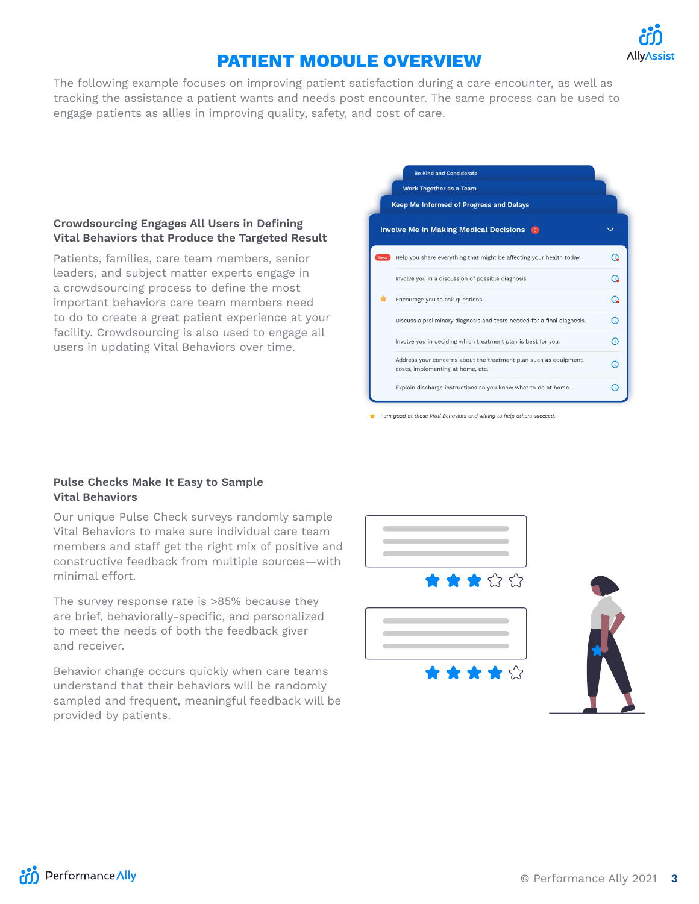

# **PATIENT MODULE OVERVIEW**

The following example focuses on improving patient satisfaction during a care encounter, as well as tracking the assistance a patient wants and needs post encounter. The same process can be used to engage patients as allies in improving quality, safety, and cost of care.

#### **Crowdsourcing Engages All Users in Defining Vital Behaviors that Produce the Targeted Result**

Patients, families, care team members, senior leaders, and subject matter experts engage in a crowdsourcing process to define the most important behaviors care team members need to do to create a great patient experience at your facility. Crowdsourcing is also used to engage all users in updating Vital Behaviors over time.

|     | <b>Be Kind and Considerate</b>                                                                         |    |
|-----|--------------------------------------------------------------------------------------------------------|----|
|     | <b>Work Together as a Team</b>                                                                         |    |
|     | Keep Me Informed of Progress and Delays                                                                |    |
|     | <b>Involve Me in Making Medical Decisions</b> 5                                                        |    |
| New | Help you share everything that might be affecting your health today.                                   | G. |
|     | Involve you in a discussion of possible diagnosis.                                                     | ഭ  |
|     | Encourage you to ask questions.                                                                        | ഭ  |
|     | Discuss a preliminary diagnosis and tests needed for a final diagnosis.                                | Œ  |
|     | Involve you in deciding which treatment plan is best for you.                                          | C  |
|     | Address your concerns about the treatment plan such as equipment,<br>costs, implementing at home, etc. | C  |
|     | Explain discharge instructions so you know what to do at home.                                         | Œ  |

I am good at these Vital Behaviors and willing to help others succeed

#### **Pulse Checks Make It Easy to Sample Vital Behaviors**

Our unique Pulse Check surveys randomly sample Vital Behaviors to make sure individual care team members and staff get the right mix of positive and constructive feedback from multiple sources—with minimal effort.

The survey response rate is >85% because they are brief, behaviorally-specific, and personalized to meet the needs of both the feedback giver and receiver.

Behavior change occurs quickly when care teams understand that their behaviors will be randomly sampled and frequent, meaningful feedback will be provided by patients.

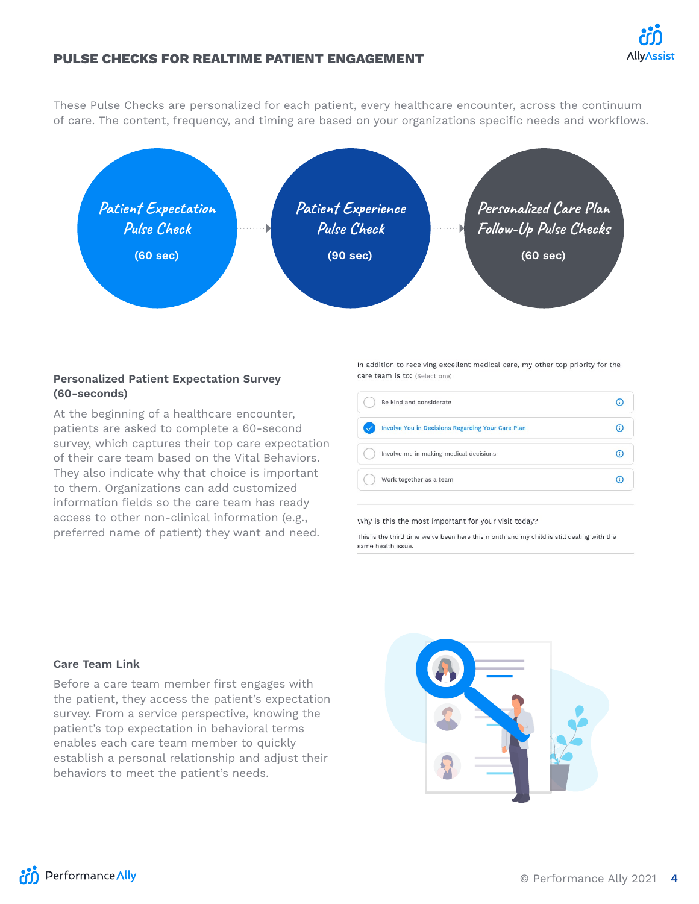

#### **PULSE CHECKS FOR REALTIME PATIENT ENGAGEMENT**

These Pulse Checks are personalized for each patient, every healthcare encounter, across the continuum of care. The content, frequency, and timing are based on your organizations specific needs and workflows.



#### **Personalized Patient Expectation Survey (60-seconds)**

At the beginning of a healthcare encounter, patients are asked to complete a 60-second survey, which captures their top care expectation of their care team based on the Vital Behaviors. They also indicate why that choice is important to them. Organizations can add customized information fields so the care team has ready access to other non-clinical information (e.g., preferred name of patient) they want and need.

In addition to receiving excellent medical care, my other top priority for the care team is to: (Select one)

| Be kind and considerate                           |  |
|---------------------------------------------------|--|
| Involve You in Decisions Regarding Your Care Plan |  |
| Involve me in making medical decisions            |  |
| Work together as a team                           |  |

Why is this the most important for your visit today?

This is the third time we've been here this month and my child is still dealing with the same health issue

#### **Care Team Link**

Before a care team member first engages with the patient, they access the patient's expectation survey. From a service perspective, knowing the patient's top expectation in behavioral terms enables each care team member to quickly establish a personal relationship and adjust their behaviors to meet the patient's needs.



**AM** Performance Ally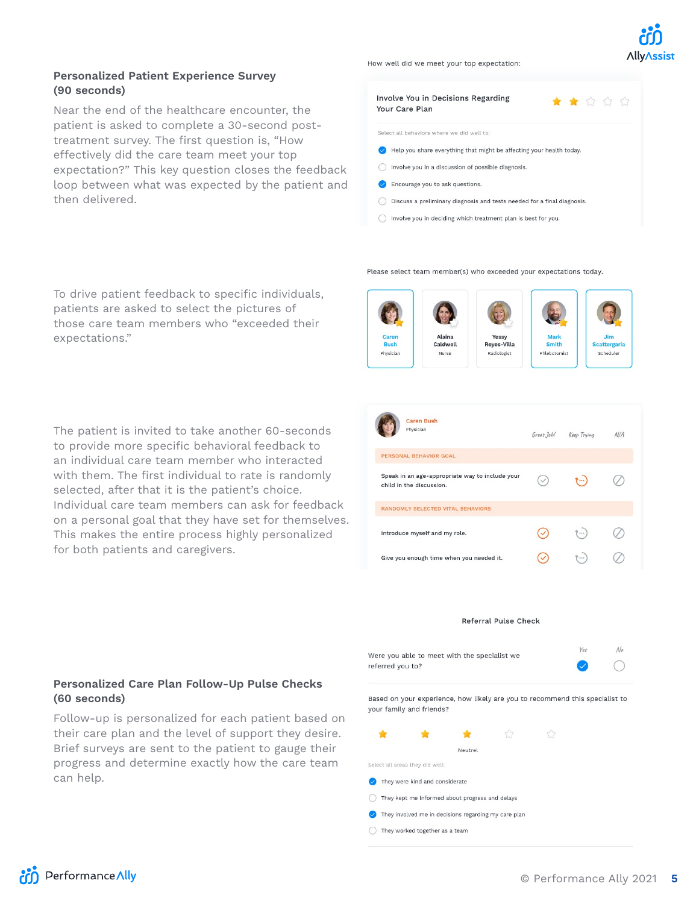

#### **Personalized Patient Experience Survey (90 seconds)**

Near the end of the healthcare encounter, the patient is asked to complete a 30-second posttreatment survey. The first question is, "How effectively did the care team meet your top expectation?" This key question closes the feedback loop between what was expected by the patient and then delivered.

How well did we meet your top expectation:

| Involve You in Decisions Regarding<br>* * * * *<br>Your Care Plan       |
|-------------------------------------------------------------------------|
| Select all behaviors where we did well to:                              |
| Help you share everything that might be affecting your health today.    |
| Involve you in a discussion of possible diagnosis.                      |
| Encourage you to ask questions.                                         |
| Discuss a preliminary diagnosis and tests needed for a final diagnosis. |
| Involve you in deciding which treatment plan is best for you.           |

Please select team member(s) who exceeded your expectations today.

To drive patient feedback to specific individuals, patients are asked to select the pictures of those care team members who "exceeded their expectations."

The patient is invited to take another 60-seconds to provide more specific behavioral feedback to an individual care team member who interacted with them. The first individual to rate is randomly selected, after that it is the patient's choice. Individual care team members can ask for feedback on a personal goal that they have set for themselves. This makes the entire process highly personalized for both patients and caregivers.

#### **Personalized Care Plan Follow-Up Pulse Checks (60 seconds)**

Follow-up is personalized for each patient based on their care plan and the level of support they desire. Brief surveys are sent to the patient to gauge their progress and determine exactly how the care team can help.



| <b>Caren Bush</b><br>Physician                                              | Great Job! | Keep Trying      | N/A |
|-----------------------------------------------------------------------------|------------|------------------|-----|
| PERSONAL BEHAVIOR GOAL                                                      |            |                  |     |
| Speak in an age-appropriate way to include your<br>child in the discussion. |            |                  |     |
| RANDOMLY SELECTED VITAL BEHAVIORS                                           |            |                  |     |
| Introduce myself and my role.                                               |            | T  )             |     |
| Give you enough time when you needed it.                                    |            | $\mathbb{P}$ one |     |

#### Referral Pulse Check

| Were you able to meet with the specialist we | Yes    |  |
|----------------------------------------------|--------|--|
| referred you to?                             | $\sim$ |  |

Based on your experience, how likely are you to recommend this specialist to vour family and friends?

|                                                      | Neutrel |  |
|------------------------------------------------------|---------|--|
| Select all areas they did well:                      |         |  |
| They were kind and considerate                       |         |  |
| They kept me informed about progress and delays      |         |  |
| They involved me in decisions regarding my care plan |         |  |
| They worked together as a team                       |         |  |
|                                                      |         |  |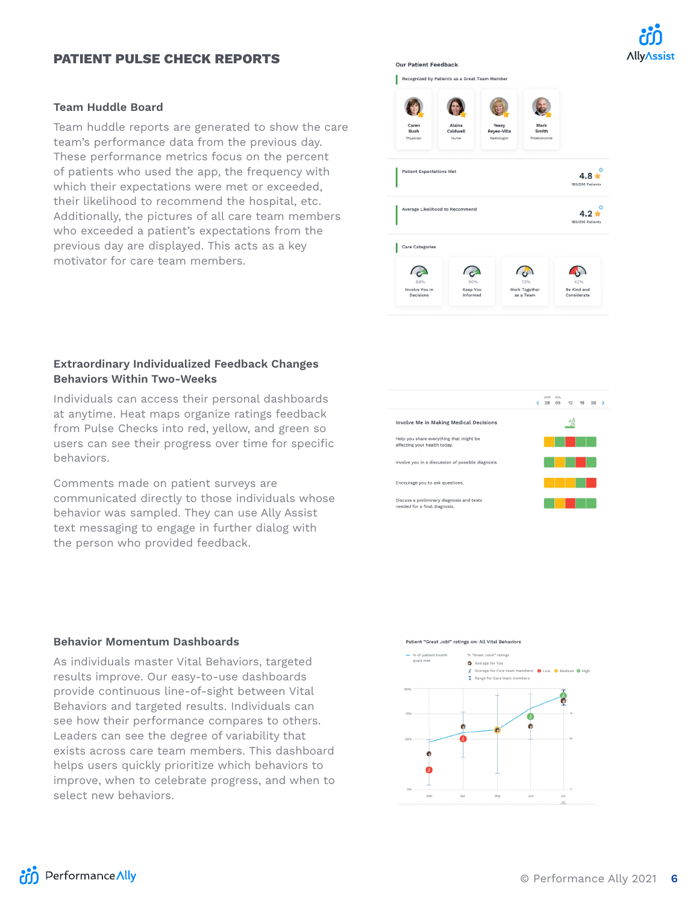# **AllyAssist**

#### **PATIENT PULSE CHECK REPORTS**

#### **Team Huddle Board**

Team huddle reports are generated to show the care team's performance data from the previous day. These performance metrics focus on the percent of patients who used the app, the frequency with which their expectations were met or exceeded, their likelihood to recommend the hospital, etc. Additionally, the pictures of all care team members who exceeded a patient's expectations from the previous day are displayed. This acts as a key motivator for care team members.

#### **Extraordinary Individualized Feedback Changes Behaviors Within Two-Weeks**

Individuals can access their personal dashboards at anytime. Heat maps organize ratings feedback from Pulse Checks into red, yellow, and green so users can see their progress over time for specific behaviors.

Comments made on patient surveys are communicated directly to those individuals whose behavior was sampled. They can use Ally Assist text messaging to engage in further dialog with the person who provided feedback.

Involve Me in Making Medical Decisions

#### **Behavior Momentum Dashboards**

As individuals master Vital Behaviors, targeted results improve. Our easy-to-use dashboards provide continuous line-of-sight between Vital Behaviors and targeted results. Individuals can see how their performance compares to others. Leaders can see the degree of variability that exists across care team members. This dashboard helps users quickly prioritize which behaviors to improve, when to celebrate progress, and when to select new behaviors.







JUN JUL<br>
(28 05 12 19 26 )

望



**Our Patient Feedback** 

Recognized by Patients as a Great Team Member